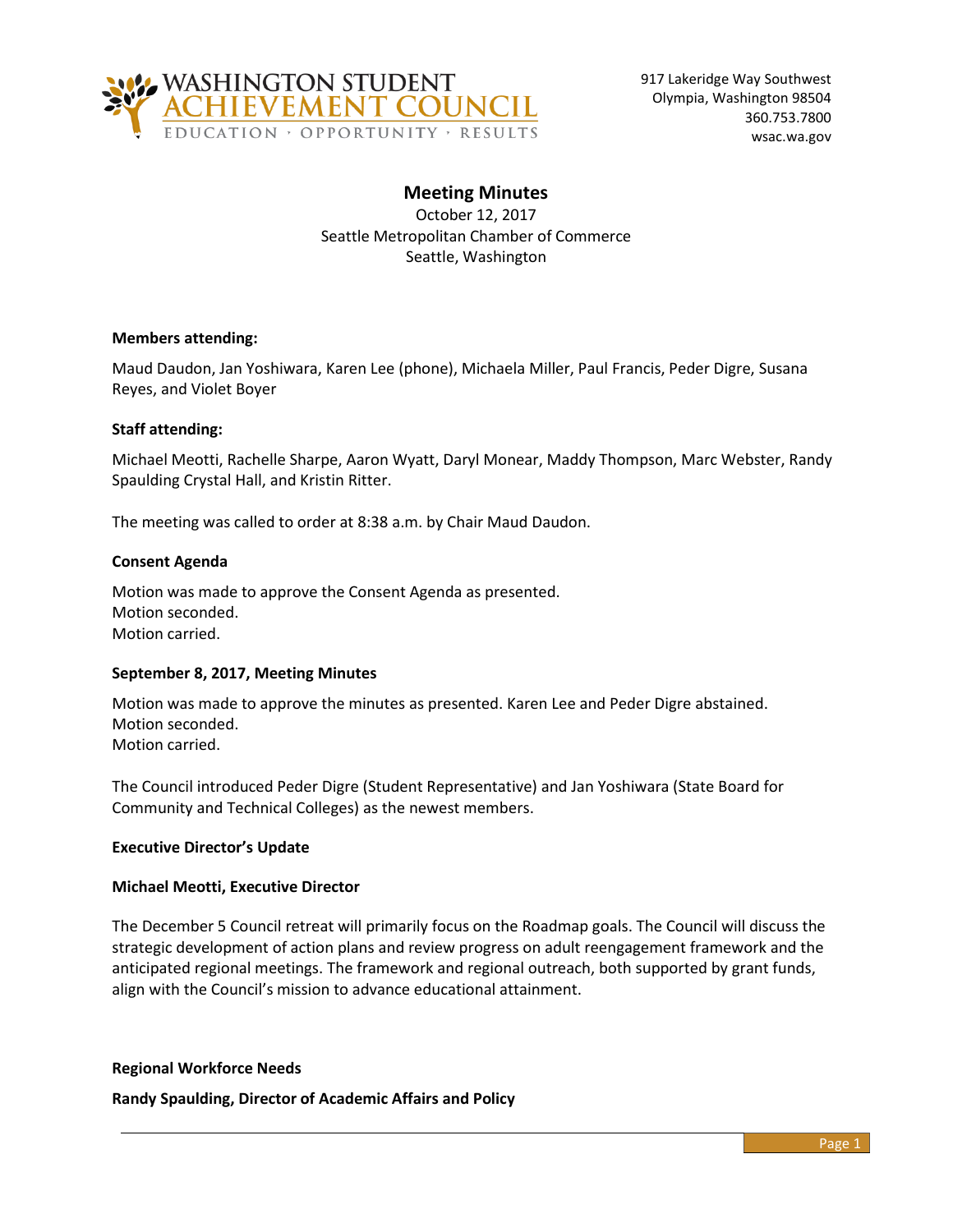

# **Meeting Minutes**

October 12, 2017 Seattle Metropolitan Chamber of Commerce Seattle, Washington

## **Members attending:**

Maud Daudon, Jan Yoshiwara, Karen Lee (phone), Michaela Miller, Paul Francis, Peder Digre, Susana Reyes, and Violet Boyer

### **Staff attending:**

Michael Meotti, Rachelle Sharpe, Aaron Wyatt, Daryl Monear, Maddy Thompson, Marc Webster, Randy Spaulding Crystal Hall, and Kristin Ritter.

The meeting was called to order at 8:38 a.m. by Chair Maud Daudon.

### **Consent Agenda**

Motion was made to approve the Consent Agenda as presented. Motion seconded. Motion carried.

### **September 8, 2017, Meeting Minutes**

Motion was made to approve the minutes as presented. Karen Lee and Peder Digre abstained. Motion seconded. Motion carried.

The Council introduced Peder Digre (Student Representative) and Jan Yoshiwara (State Board for Community and Technical Colleges) as the newest members.

## **Executive Director's Update**

### **Michael Meotti, Executive Director**

The December 5 Council retreat will primarily focus on the Roadmap goals. The Council will discuss the strategic development of action plans and review progress on adult reengagement framework and the anticipated regional meetings. The framework and regional outreach, both supported by grant funds, align with the Council's mission to advance educational attainment.

### **Regional Workforce Needs**

**Randy Spaulding, Director of Academic Affairs and Policy**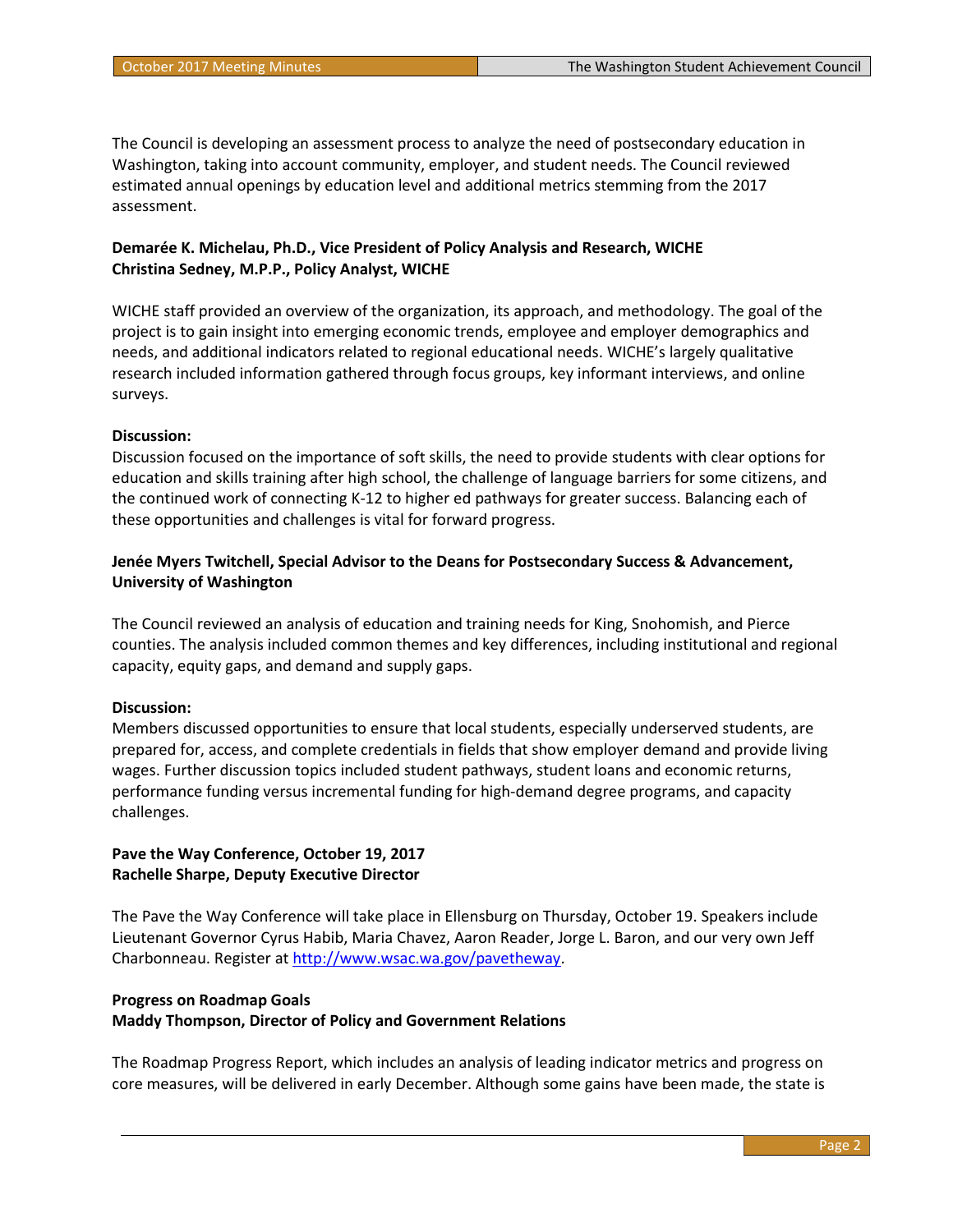The Council is developing an assessment process to analyze the need of postsecondary education in Washington, taking into account community, employer, and student needs. The Council reviewed estimated annual openings by education level and additional metrics stemming from the 2017 assessment.

# **Demarée K. Michelau, Ph.D., Vice President of Policy Analysis and Research, WICHE Christina Sedney, M.P.P., Policy Analyst, WICHE**

WICHE staff provided an overview of the organization, its approach, and methodology. The goal of the project is to gain insight into emerging economic trends, employee and employer demographics and needs, and additional indicators related to regional educational needs. WICHE's largely qualitative research included information gathered through focus groups, key informant interviews, and online surveys.

## **Discussion:**

Discussion focused on the importance of soft skills, the need to provide students with clear options for education and skills training after high school, the challenge of language barriers for some citizens, and the continued work of connecting K-12 to higher ed pathways for greater success. Balancing each of these opportunities and challenges is vital for forward progress.

# **Jenée Myers Twitchell, Special Advisor to the Deans for Postsecondary Success & Advancement, University of Washington**

The Council reviewed an analysis of education and training needs for King, Snohomish, and Pierce counties. The analysis included common themes and key differences, including institutional and regional capacity, equity gaps, and demand and supply gaps.

## **Discussion:**

Members discussed opportunities to ensure that local students, especially underserved students, are prepared for, access, and complete credentials in fields that show employer demand and provide living wages. Further discussion topics included student pathways, student loans and economic returns, performance funding versus incremental funding for high-demand degree programs, and capacity challenges.

## **Pave the Way Conference, October 19, 2017 Rachelle Sharpe, Deputy Executive Director**

The Pave the Way Conference will take place in Ellensburg on Thursday, October 19. Speakers include Lieutenant Governor Cyrus Habib, Maria Chavez, Aaron Reader, Jorge L. Baron, and our very own Jeff Charbonneau. Register at [http://www.wsac.wa.gov/pavetheway.](http://www.wsac.wa.gov/pavetheway)

# **Progress on Roadmap Goals Maddy Thompson, Director of Policy and Government Relations**

The Roadmap Progress Report, which includes an analysis of leading indicator metrics and progress on core measures, will be delivered in early December. Although some gains have been made, the state is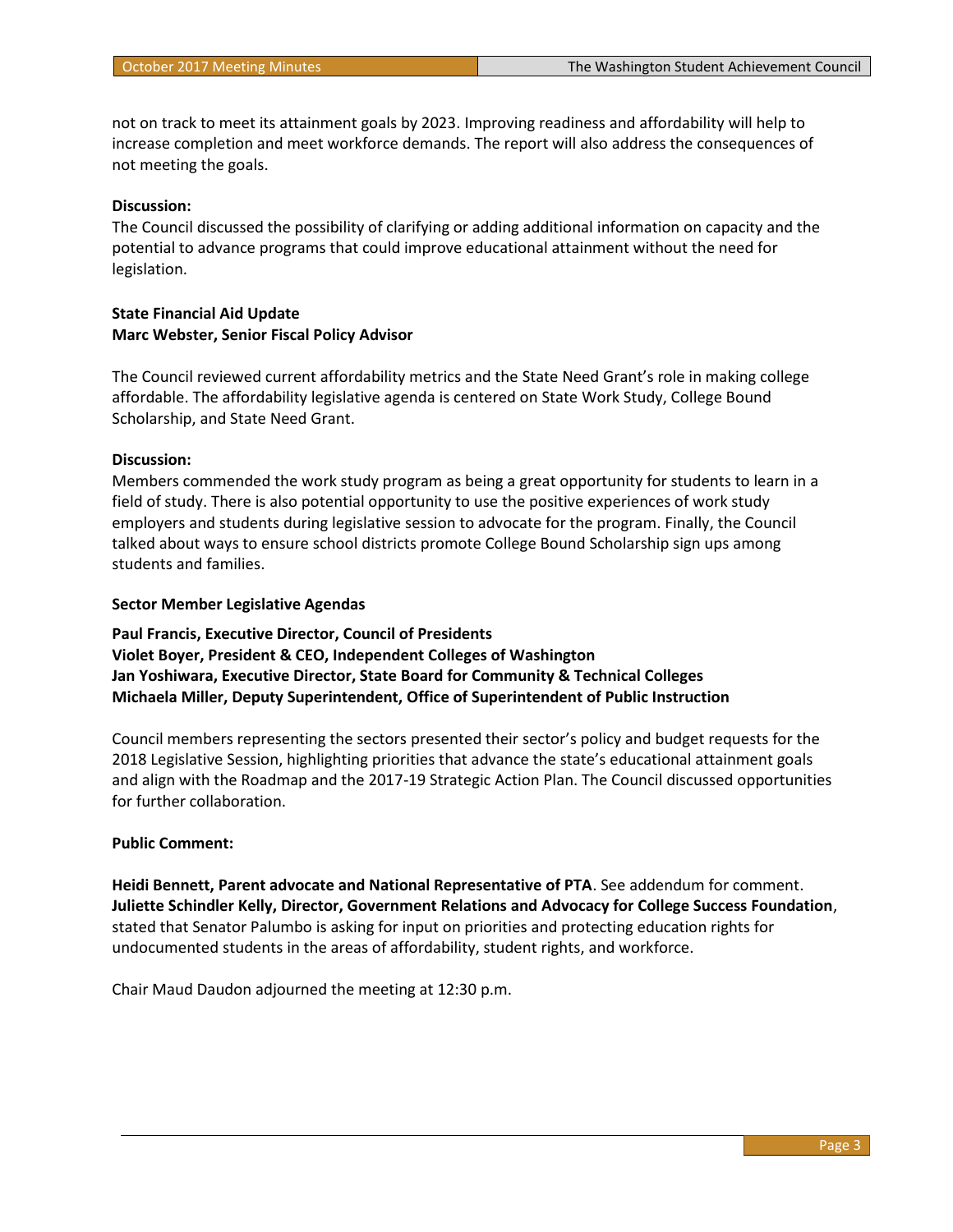not on track to meet its attainment goals by 2023. Improving readiness and affordability will help to increase completion and meet workforce demands. The report will also address the consequences of not meeting the goals.

### **Discussion:**

The Council discussed the possibility of clarifying or adding additional information on capacity and the potential to advance programs that could improve educational attainment without the need for legislation.

### **State Financial Aid Update Marc Webster, Senior Fiscal Policy Advisor**

The Council reviewed current affordability metrics and the State Need Grant's role in making college affordable. The affordability legislative agenda is centered on State Work Study, College Bound Scholarship, and State Need Grant.

### **Discussion:**

Members commended the work study program as being a great opportunity for students to learn in a field of study. There is also potential opportunity to use the positive experiences of work study employers and students during legislative session to advocate for the program. Finally, the Council talked about ways to ensure school districts promote College Bound Scholarship sign ups among students and families.

### **Sector Member Legislative Agendas**

**Paul Francis, Executive Director, Council of Presidents Violet Boyer, President & CEO, Independent Colleges of Washington Jan Yoshiwara, Executive Director, State Board for Community & Technical Colleges Michaela Miller, Deputy Superintendent, Office of Superintendent of Public Instruction**

Council members representing the sectors presented their sector's policy and budget requests for the 2018 Legislative Session, highlighting priorities that advance the state's educational attainment goals and align with the Roadmap and the 2017-19 Strategic Action Plan. The Council discussed opportunities for further collaboration.

### **Public Comment:**

**Heidi Bennett, Parent advocate and National Representative of PTA**. See addendum for comment. **Juliette Schindler Kelly, Director, Government Relations and Advocacy for College Success Foundation**, stated that Senator Palumbo is asking for input on priorities and protecting education rights for undocumented students in the areas of affordability, student rights, and workforce.

Chair Maud Daudon adjourned the meeting at 12:30 p.m.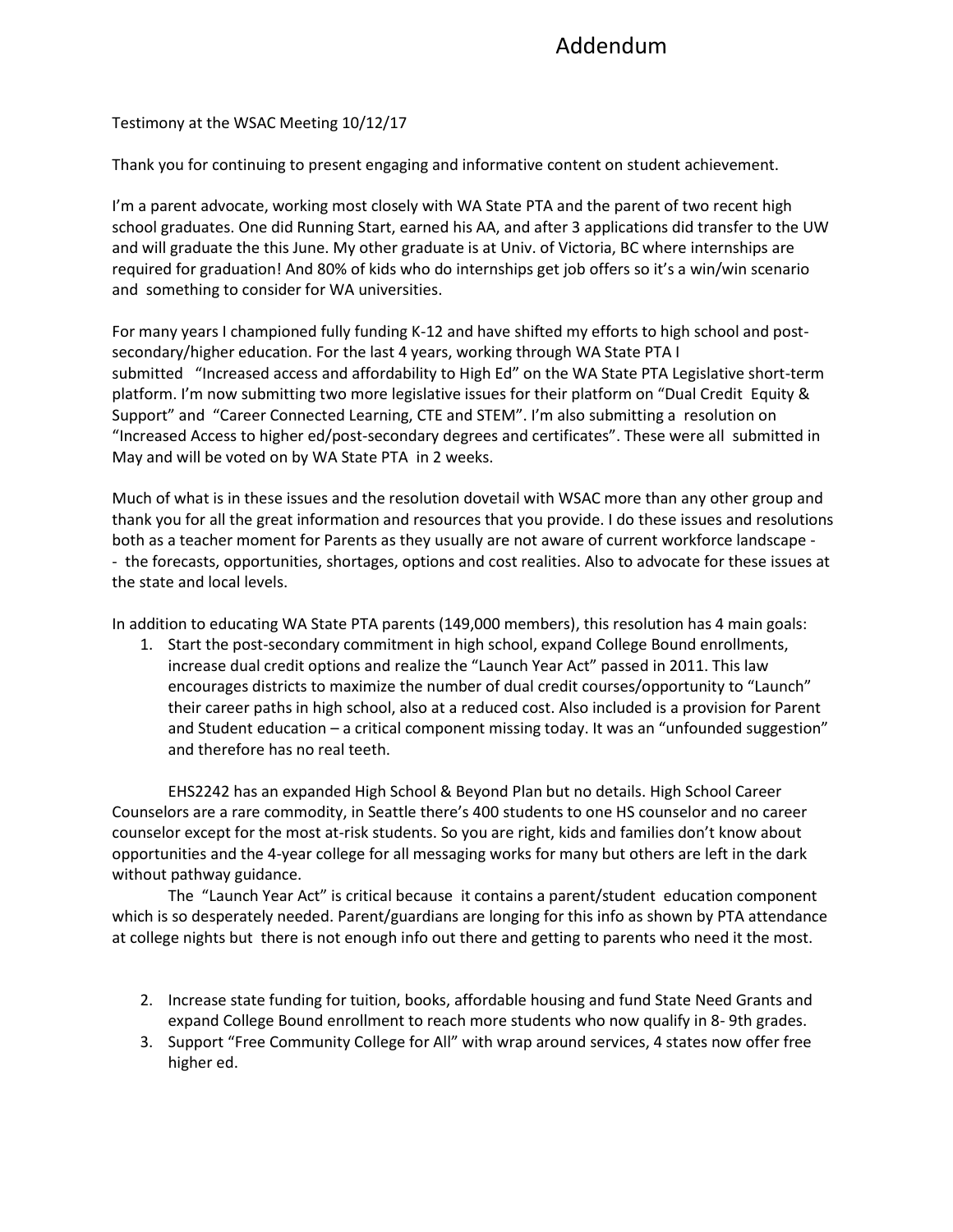# Addendum

Testimony at the WSAC Meeting 10/12/17

Thank you for continuing to present engaging and informative content on student achievement.

I'm a parent advocate, working most closely with WA State PTA and the parent of two recent high school graduates. One did Running Start, earned his AA, and after 3 applications did transfer to the UW and will graduate the this June. My other graduate is at Univ. of Victoria, BC where internships are required for graduation! And 80% of kids who do internships get job offers so it's a win/win scenario and something to consider for WA universities.

For many years I championed fully funding K-12 and have shifted my efforts to high school and postsecondary/higher education. For the last 4 years, working through WA State PTA I submitted "Increased access and affordability to High Ed" on the WA State PTA Legislative short-term platform. I'm now submitting two more legislative issues for their platform on "Dual Credit Equity & Support" and "Career Connected Learning, CTE and STEM". I'm also submitting a resolution on "Increased Access to higher ed/post-secondary degrees and certificates". These were all submitted in May and will be voted on by WA State PTA in 2 weeks.

Much of what is in these issues and the resolution dovetail with WSAC more than any other group and thank you for all the great information and resources that you provide. I do these issues and resolutions both as a teacher moment for Parents as they usually are not aware of current workforce landscape - - the forecasts, opportunities, shortages, options and cost realities. Also to advocate for these issues at the state and local levels.

In addition to educating WA State PTA parents (149,000 members), this resolution has 4 main goals:

1. Start the post-secondary commitment in high school, expand College Bound enrollments, increase dual credit options and realize the "Launch Year Act" passed in 2011. This law encourages districts to maximize the number of dual credit courses/opportunity to "Launch" their career paths in high school, also at a reduced cost. Also included is a provision for Parent and Student education – a critical component missing today. It was an "unfounded suggestion" and therefore has no real teeth.

EHS2242 has an expanded High School & Beyond Plan but no details. High School Career Counselors are a rare commodity, in Seattle there's 400 students to one HS counselor and no career counselor except for the most at-risk students. So you are right, kids and families don't know about opportunities and the 4-year college for all messaging works for many but others are left in the dark without pathway guidance.

The "Launch Year Act" is critical because it contains a parent/student education component which is so desperately needed. Parent/guardians are longing for this info as shown by PTA attendance at college nights but there is not enough info out there and getting to parents who need it the most.

- 2. Increase state funding for tuition, books, affordable housing and fund State Need Grants and expand College Bound enrollment to reach more students who now qualify in 8- 9th grades.
- 3. Support "Free Community College for All" with wrap around services, 4 states now offer free higher ed.